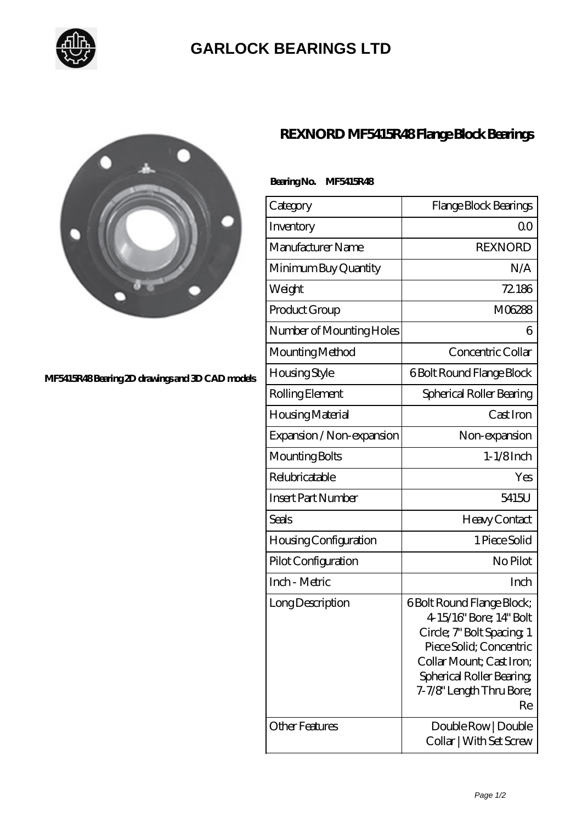

## **[GARLOCK BEARINGS LTD](https://m.letterstopriests.com)**



**[MF5415R48 Bearing 2D drawings and 3D CAD models](https://m.letterstopriests.com/pic-188617.html)**

## **[REXNORD MF5415R48 Flange Block Bearings](https://m.letterstopriests.com/be-188617-rexnord-mf5415r48-flange-block-bearings.html)**

| Bearing No. | <b>MF5415R48</b> |
|-------------|------------------|
|             |                  |

| Category                     | Flange Block Bearings                                                                                                                                                                                          |
|------------------------------|----------------------------------------------------------------------------------------------------------------------------------------------------------------------------------------------------------------|
| Inventory                    | Q0                                                                                                                                                                                                             |
| Manufacturer Name            | <b>REXNORD</b>                                                                                                                                                                                                 |
| Minimum Buy Quantity         | N/A                                                                                                                                                                                                            |
| Weight                       | 72.186                                                                                                                                                                                                         |
| Product Group                | M06288                                                                                                                                                                                                         |
| Number of Mounting Holes     | 6                                                                                                                                                                                                              |
| Mounting Method              | Concentric Collar                                                                                                                                                                                              |
| Housing Style                | 6 Bolt Round Flange Block                                                                                                                                                                                      |
| Rolling Element              | Spherical Roller Bearing                                                                                                                                                                                       |
| Housing Material             | Cast Iron                                                                                                                                                                                                      |
| Expansion / Non-expansion    | Non-expansion                                                                                                                                                                                                  |
| Mounting Bolts               | $1-1/8$ Inch                                                                                                                                                                                                   |
| Relubricatable               | Yes                                                                                                                                                                                                            |
| <b>Insert Part Number</b>    | 5415U                                                                                                                                                                                                          |
| Seals                        | Heavy Contact                                                                                                                                                                                                  |
| <b>Housing Configuration</b> | 1 Piece Solid                                                                                                                                                                                                  |
| Pilot Configuration          | No Pilot                                                                                                                                                                                                       |
| Inch - Metric                | Inch                                                                                                                                                                                                           |
| Long Description             | <b>6Bolt Round Flange Block;</b><br>4-15/16" Bore; 14" Bolt<br>Circle; 7" Bolt Spacing, 1<br>Piece Solid; Concentric<br>Collar Mount; Cast Iron;<br>Spherical Roller Bearing<br>7-7/8" Length Thru Bore;<br>Re |
| <b>Other Features</b>        | Double Row   Double<br>Collar   With Set Screw                                                                                                                                                                 |